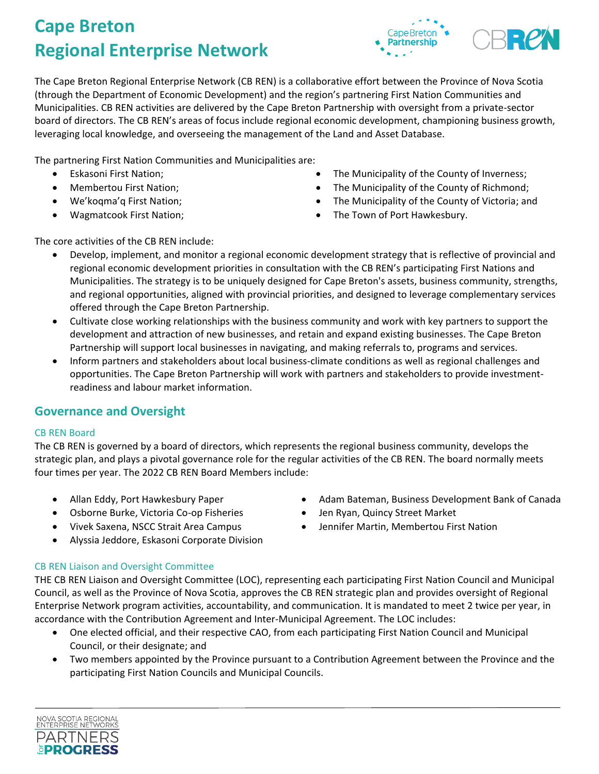# **Cape Breton Regional Enterprise Network**



The Cape Breton Regional Enterprise Network (CB REN) is a collaborative effort between the Province of Nova Scotia (through the Department of Economic Development) and the region's partnering First Nation Communities and Municipalities. CB REN activities are delivered by the Cape Breton Partnership with oversight from a private-sector board of directors. The CB REN's areas of focus include regional economic development, championing business growth, leveraging local knowledge, and overseeing the management of the Land and Asset Database.

The partnering First Nation Communities and Municipalities are:

- Eskasoni First Nation;
- Membertou First Nation;
- We'koqma'q First Nation;
- Wagmatcook First Nation;
- The Municipality of the County of Inverness;
- The Municipality of the County of Richmond;
- The Municipality of the County of Victoria; and
- The Town of Port Hawkesbury.

The core activities of the CB REN include:

- Develop, implement, and monitor a regional economic development strategy that is reflective of provincial and regional economic development priorities in consultation with the CB REN's participating First Nations and Municipalities. The strategy is to be uniquely designed for Cape Breton's assets, business community, strengths, and regional opportunities, aligned with provincial priorities, and designed to leverage complementary services offered through the Cape Breton Partnership.
- Cultivate close working relationships with the business community and work with key partners to support the development and attraction of new businesses, and retain and expand existing businesses. The Cape Breton Partnership will support local businesses in navigating, and making referrals to, programs and services.
- Inform partners and stakeholders about local business-climate conditions as well as regional challenges and opportunities. The Cape Breton Partnership will work with partners and stakeholders to provide investmentreadiness and labour market information.

## **Governance and Oversight**

### CB REN Board

The CB REN is governed by a board of directors, which represents the regional business community, develops the strategic plan, and plays a pivotal governance role for the regular activities of the CB REN. The board normally meets four times per year. The 2022 CB REN Board Members include:

- Allan Eddy, Port Hawkesbury Paper
- Osborne Burke, Victoria Co-op Fisheries
- Vivek Saxena, NSCC Strait Area Campus
- Alyssia Jeddore, Eskasoni Corporate Division

## CB REN Liaison and Oversight Committee

THE CB REN Liaison and Oversight Committee (LOC), representing each participating First Nation Council and Municipal Council, as well as the Province of Nova Scotia, approves the CB REN strategic plan and provides oversight of Regional Enterprise Network program activities, accountability, and communication. It is mandated to meet 2 twice per year, in accordance with the Contribution Agreement and Inter-Municipal Agreement. The LOC includes:

- One elected official, and their respective CAO, from each participating First Nation Council and Municipal Council, or their designate; and
- Two members appointed by the Province pursuant to a Contribution Agreement between the Province and the participating First Nation Councils and Municipal Councils.



- Adam Bateman, Business Development Bank of Canada
- Jen Ryan, Quincy Street Market
- Jennifer Martin, Membertou First Nation